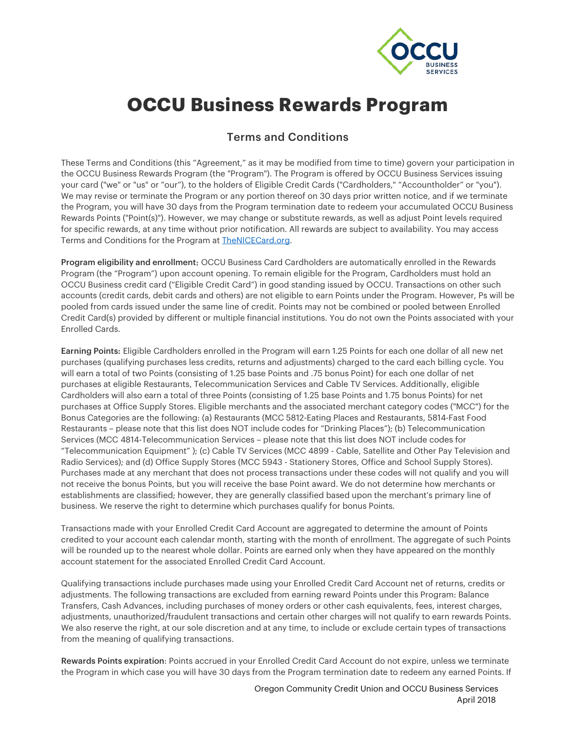

## **OCCU Business Rewards Program**

## Terms and Conditions

These Terms and Conditions (this "Agreement," as it may be modified from time to time) govern your participation in the OCCU Business Rewards Program (the "Program"). The Program is offered by OCCU Business Services issuing your card ("we" or "us" or "our"), to the holders of Eligible Credit Cards ("Cardholders," "Accountholder" or "you"). We may revise or terminate the Program or any portion thereof on 30 days prior written notice, and if we terminate the Program, you will have 30 days from the Program termination date to redeem your accumulated OCCU Business Rewards Points ("Point(s)"). However, we may change or substitute rewards, as well as adjust Point levels required for specific rewards, at any time without prior notification. All rewards are subject to availability. You may access Terms and Conditions for the Program a[t TheNICECard.org.](http://thenicecard.org/) 

Program eligibility and enrollment: OCCU Business Card Cardholders are automatically enrolled in the Rewards Program (the "Program") upon account opening. To remain eligible for the Program, Cardholders must hold an OCCU Business credit card ("Eligible Credit Card") in good standing issued by OCCU. Transactions on other such accounts (credit cards, debit cards and others) are not eligible to earn Points under the Program. However, Ps will be pooled from cards issued under the same line of credit. Points may not be combined or pooled between Enrolled Credit Card(s) provided by different or multiple financial institutions. You do not own the Points associated with your Enrolled Cards.

Earning Points: Eligible Cardholders enrolled in the Program will earn 1.25 Points for each one dollar of all new net purchases (qualifying purchases less credits, returns and adjustments) charged to the card each billing cycle. You will earn a total of two Points (consisting of 1.25 base Points and .75 bonus Point) for each one dollar of net purchases at eligible Restaurants, Telecommunication Services and Cable TV Services. Additionally, eligible Cardholders will also earn a total of three Points (consisting of 1.25 base Points and 1.75 bonus Points) for net purchases at Office Supply Stores. Eligible merchants and the associated merchant category codes ("MCC") for the Bonus Categories are the following: (a) Restaurants (MCC 5812-Eating Places and Restaurants, 5814-Fast Food Restaurants – please note that this list does NOT include codes for "Drinking Places"); (b) Telecommunication Services (MCC 4814-Telecommunication Services – please note that this list does NOT include codes for "Telecommunication Equipment" ); (c) Cable TV Services (MCC 4899 - Cable, Satellite and Other Pay Television and Radio Services); and (d) Office Supply Stores (MCC 5943 - Stationery Stores, Office and School Supply Stores). Purchases made at any merchant that does not process transactions under these codes will not qualify and you will not receive the bonus Points, but you will receive the base Point award. We do not determine how merchants or establishments are classified; however, they are generally classified based upon the merchant's primary line of business. We reserve the right to determine which purchases qualify for bonus Points.

Transactions made with your Enrolled Credit Card Account are aggregated to determine the amount of Points credited to your account each calendar month, starting with the month of enrollment. The aggregate of such Points will be rounded up to the nearest whole dollar. Points are earned only when they have appeared on the monthly account statement for the associated Enrolled Credit Card Account.

Qualifying transactions include purchases made using your Enrolled Credit Card Account net of returns, credits or adjustments. The following transactions are excluded from earning reward Points under this Program: Balance Transfers, Cash Advances, including purchases of money orders or other cash equivalents, fees, interest charges, adjustments, unauthorized/fraudulent transactions and certain other charges will not qualify to earn rewards Points. We also reserve the right, at our sole discretion and at any time, to include or exclude certain types of transactions from the meaning of qualifying transactions.

Rewards Points expiration: Points accrued in your Enrolled Credit Card Account do not expire, unless we terminate the Program in which case you will have 30 days from the Program termination date to redeem any earned Points. If

> Oregon Community Credit Union and OCCU Business Services April 2018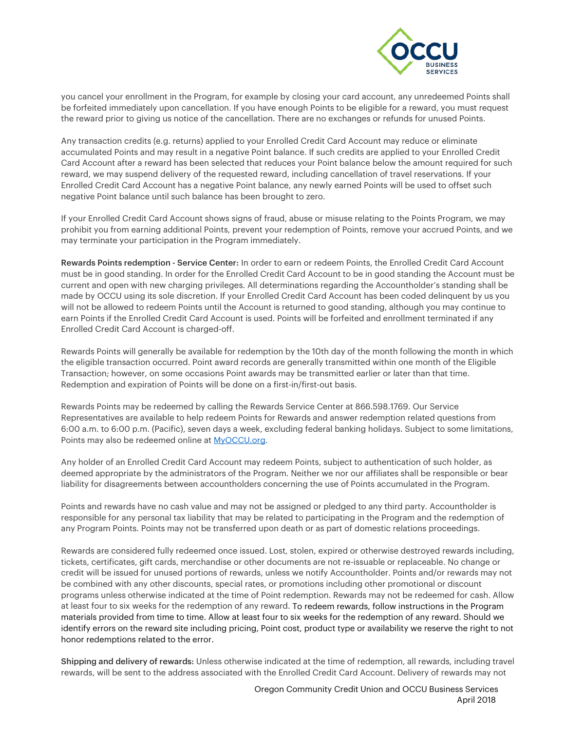

you cancel your enrollment in the Program, for example by closing your card account, any unredeemed Points shall be forfeited immediately upon cancellation. If you have enough Points to be eligible for a reward, you must request the reward prior to giving us notice of the cancellation. There are no exchanges or refunds for unused Points.

Any transaction credits (e.g. returns) applied to your Enrolled Credit Card Account may reduce or eliminate accumulated Points and may result in a negative Point balance. If such credits are applied to your Enrolled Credit Card Account after a reward has been selected that reduces your Point balance below the amount required for such reward, we may suspend delivery of the requested reward, including cancellation of travel reservations. If your Enrolled Credit Card Account has a negative Point balance, any newly earned Points will be used to offset such negative Point balance until such balance has been brought to zero.

If your Enrolled Credit Card Account shows signs of fraud, abuse or misuse relating to the Points Program, we may prohibit you from earning additional Points, prevent your redemption of Points, remove your accrued Points, and we may terminate your participation in the Program immediately.

Rewards Points redemption - Service Center: In order to earn or redeem Points, the Enrolled Credit Card Account must be in good standing. In order for the Enrolled Credit Card Account to be in good standing the Account must be current and open with new charging privileges. All determinations regarding the Accountholder's standing shall be made by OCCU using its sole discretion. If your Enrolled Credit Card Account has been coded delinquent by us you will not be allowed to redeem Points until the Account is returned to good standing, although you may continue to earn Points if the Enrolled Credit Card Account is used. Points will be forfeited and enrollment terminated if any Enrolled Credit Card Account is charged-off.

Rewards Points will generally be available for redemption by the 10th day of the month following the month in which the eligible transaction occurred. Point award records are generally transmitted within one month of the Eligible Transaction; however, on some occasions Point awards may be transmitted earlier or later than that time. Redemption and expiration of Points will be done on a first-in/first-out basis.

Rewards Points may be redeemed by calling the Rewards Service Center at 866.598.1769. Our Service Representatives are available to help redeem Points for Rewards and answer redemption related questions from 6:00 a.m. to 6:00 p.m. (Pacific), seven days a week, excluding federal banking holidays. Subject to some limitations, Points may also be redeemed online at [MyOCCU.org.](http://MyOCCU.org)

Any holder of an Enrolled Credit Card Account may redeem Points, subject to authentication of such holder, as deemed appropriate by the administrators of the Program. Neither we nor our affiliates shall be responsible or bear liability for disagreements between accountholders concerning the use of Points accumulated in the Program.

Points and rewards have no cash value and may not be assigned or pledged to any third party. Accountholder is responsible for any personal tax liability that may be related to participating in the Program and the redemption of any Program Points. Points may not be transferred upon death or as part of domestic relations proceedings.

Rewards are considered fully redeemed once issued. Lost, stolen, expired or otherwise destroyed rewards including, tickets, certificates, gift cards, merchandise or other documents are not re-issuable or replaceable. No change or credit will be issued for unused portions of rewards, unless we notify Accountholder. Points and/or rewards may not be combined with any other discounts, special rates, or promotions including other promotional or discount programs unless otherwise indicated at the time of Point redemption. Rewards may not be redeemed for cash. Allow at least four to six weeks for the redemption of any reward. To redeem rewards, follow instructions in the Program materials provided from time to time. Allow at least four to six weeks for the redemption of any reward. Should we identify errors on the reward site including pricing, Point cost, product type or availability we reserve the right to not honor redemptions related to the error.

Shipping and delivery of rewards: Unless otherwise indicated at the time of redemption, all rewards, including travel rewards, will be sent to the address associated with the Enrolled Credit Card Account. Delivery of rewards may not

> Oregon Community Credit Union and OCCU Business Services April 2018